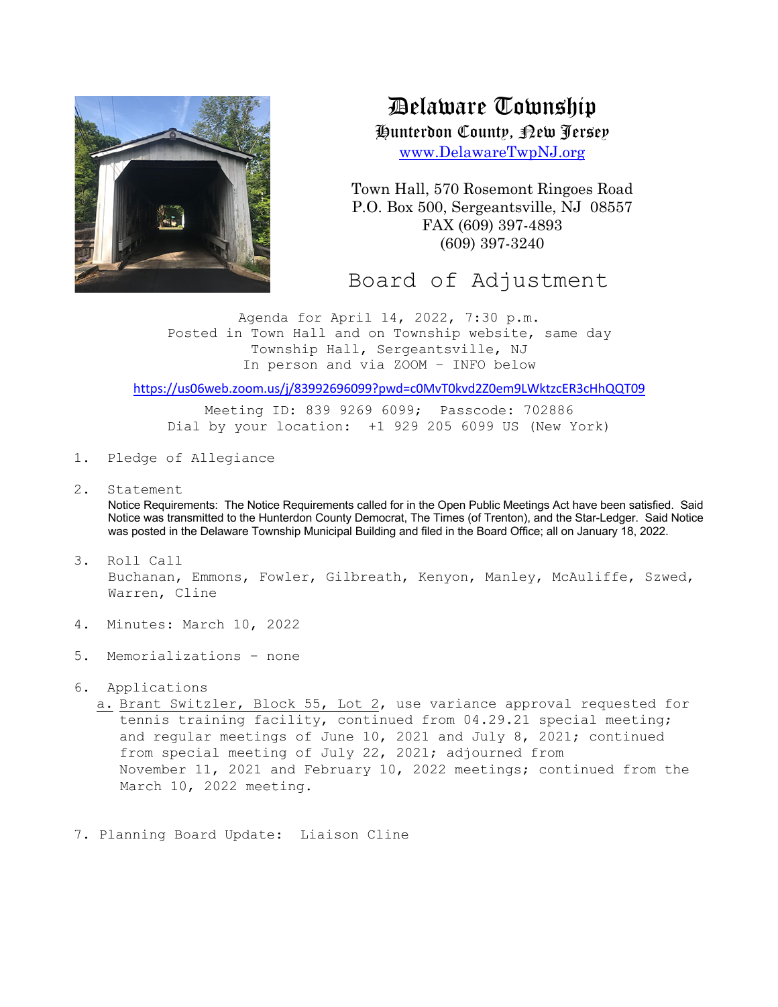

Delaware Township

Hunterdon County, New Jersey

www.DelawareTwpNJ.org

Town Hall, 570 Rosemont Ringoes Road P.O. Box 500, Sergeantsville, NJ 08557 FAX (609) 397-4893 (609) 397-3240

Board of Adjustment

Agenda for April 14, 2022, 7:30 p.m. Posted in Town Hall and on Township website, same day Township Hall, Sergeantsville, NJ In person and via ZOOM – INFO below

https://us06web.zoom.us/j/83992696099?pwd=c0MvT0kvd2Z0em9LWktzcER3cHhQQT09

Meeting ID: 839 9269 6099; Passcode: 702886 Dial by your location: +1 929 205 6099 US (New York)

- 1. Pledge of Allegiance
- 2. Statement

Notice Requirements: The Notice Requirements called for in the Open Public Meetings Act have been satisfied. Said Notice was transmitted to the Hunterdon County Democrat, The Times (of Trenton), and the Star-Ledger. Said Notice was posted in the Delaware Township Municipal Building and filed in the Board Office; all on January 18, 2022.

- 3. Roll Call Buchanan, Emmons, Fowler, Gilbreath, Kenyon, Manley, McAuliffe, Szwed, Warren, Cline
- 4. Minutes: March 10, 2022
- 5. Memorializations none
- 6. Applications

a. Brant Switzler, Block 55, Lot 2, use variance approval requested for tennis training facility, continued from 04.29.21 special meeting; and regular meetings of June 10, 2021 and July 8, 2021; continued from special meeting of July 22, 2021; adjourned from November 11, 2021 and February 10, 2022 meetings; continued from the March 10, 2022 meeting.

7. Planning Board Update: Liaison Cline